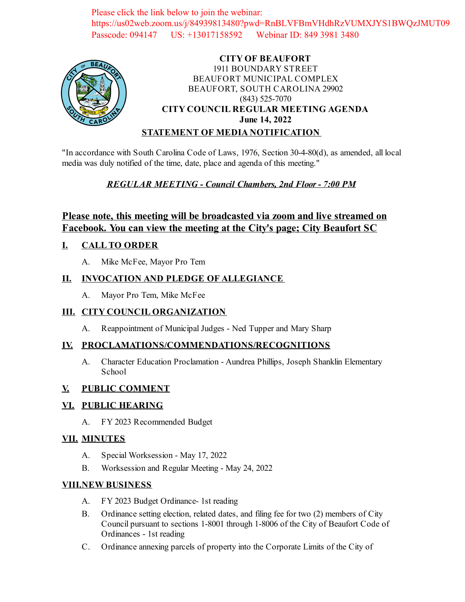Please click the link below to join the webinar: https://us02web.zoom.us/j/84939813480?pwd=RnBLVFBmVHdhRzVUMXJYS1BWQzJMUT09 Passcode: 094147 US: +13017158592 Webinar ID: 849 3981 3480



#### **CITY OF BEAUFORT** 1911 BOUNDARY STREET BEAUFORT MUNICIPAL COMPLEX BEAUFORT, SOUTH CAROLINA 29902 (843) 525-7070 **CITY COUNCIL REGULAR MEETING AGENDA June 14, 2022 STATEMENT OF MEDIA NOTIFICATION**

"In accordance with South Carolina Code of Laws, 1976, Section 30-4-80(d), as amended, all local media was duly notified of the time, date, place and agenda of this meeting."

# *REGULAR MEETING - Council Chambers, 2nd Floor - 7:00 PM*

# **Please note, this meeting will be broadcasted via zoom and live streamed on Facebook. You can view the meeting at the City's page; City Beaufort SC**

# **I. CALL TO ORDER**

A. Mike McFee, Mayor Pro Tem

### **II. INVOCATION AND PLEDGE OF ALLEGIANCE**

A. Mayor Pro Tem, Mike McFee

#### **III. CITY COUNCIL ORGANIZATION**

A. [Reappointment of Municipal Judges - Ned Tupper and Mary Sharp](file:///C:/Windows/TEMP/CoverSheet.aspx?ItemID=2539&MeetingID=362)

#### **IV. PROCLAMATIONS/COMMENDATIONS/RECOGNITIONS**

A. Character Education Proclamation - Aundrea Phillips, Joseph Shanklin Elementary School

#### **V. PUBLIC COMMENT**

#### **VI. PUBLIC HEARING**

A. FY 2023 Recommended Budget

#### **VII. MINUTES**

- A. Special Worksession May 17, 2022
- B. Worksession and Regular Meeting May 24, 2022

#### **VIII.NEW BUSINESS**

- A. [FY 2023 Budget Ordinance- 1st reading](file:///C:/Windows/TEMP/CoverSheet.aspx?ItemID=2554&MeetingID=362)
- B. Ordinance setting election, related dates, and filing fee for two (2) members of City Council pursuant to sections 1-8001 through 1-8006 of the City of Beaufort Code of Ordinances - 1st reading
- C. [Ordinance annexing parcels of property into the Corporate Limits of the City of](file:///C:/Windows/TEMP/CoverSheet.aspx?ItemID=2541&MeetingID=362)